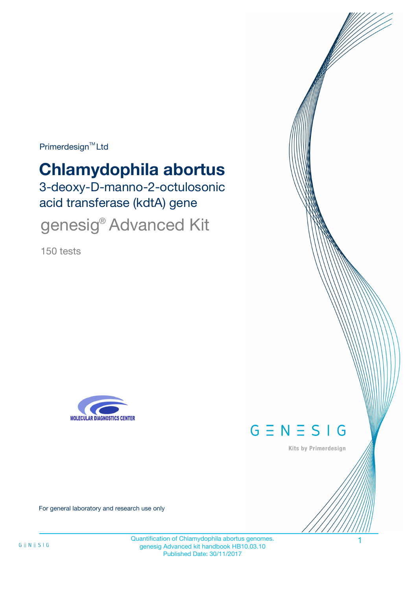Primerdesign<sup>™</sup>Ltd

# **Chlamydophila abortus**

3-deoxy-D-manno-2-octulosonic acid transferase (kdtA) gene

genesig<sup>®</sup> Advanced Kit

150 tests





Kits by Primerdesign

For general laboratory and research use only

Quantification of Chlamydophila abortus genomes. 1 genesig Advanced kit handbook HB10.03.10 Published Date: 30/11/2017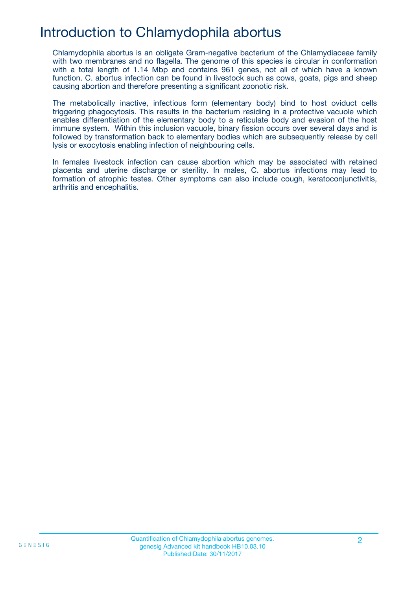## Introduction to Chlamydophila abortus

Chlamydophila abortus is an obligate Gram-negative bacterium of the Chlamydiaceae family with two membranes and no flagella. The genome of this species is circular in conformation with a total length of 1.14 Mbp and contains 961 genes, not all of which have a known function. C. abortus infection can be found in livestock such as cows, goats, pigs and sheep causing abortion and therefore presenting a significant zoonotic risk.

The metabolically inactive, infectious form (elementary body) bind to host oviduct cells triggering phagocytosis. This results in the bacterium residing in a protective vacuole which enables differentiation of the elementary body to a reticulate body and evasion of the host immune system. Within this inclusion vacuole, binary fission occurs over several days and is followed by transformation back to elementary bodies which are subsequently release by cell lysis or exocytosis enabling infection of neighbouring cells.

In females livestock infection can cause abortion which may be associated with retained placenta and uterine discharge or sterility. In males, C. abortus infections may lead to formation of atrophic testes. Other symptoms can also include cough, keratoconjunctivitis, arthritis and encephalitis.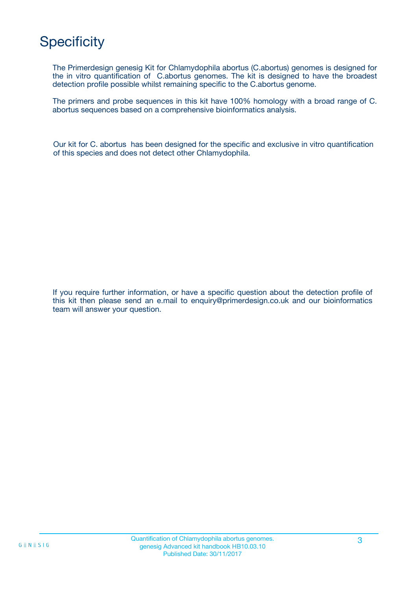# **Specificity**

The Primerdesign genesig Kit for Chlamydophila abortus (C.abortus) genomes is designed for the in vitro quantification of C.abortus genomes. The kit is designed to have the broadest detection profile possible whilst remaining specific to the C.abortus genome.

The primers and probe sequences in this kit have 100% homology with a broad range of C. abortus sequences based on a comprehensive bioinformatics analysis.

Our kit for C. abortus has been designed for the specific and exclusive in vitro quantification of this species and does not detect other Chlamydophila.

If you require further information, or have a specific question about the detection profile of this kit then please send an e.mail to enquiry@primerdesign.co.uk and our bioinformatics team will answer your question.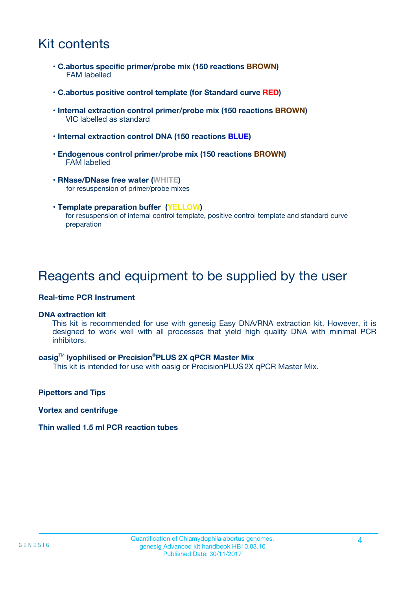## Kit contents

- **C.abortus specific primer/probe mix (150 reactions BROWN)** FAM labelled
- **C.abortus positive control template (for Standard curve RED)**
- **Internal extraction control primer/probe mix (150 reactions BROWN)** VIC labelled as standard
- **Internal extraction control DNA (150 reactions BLUE)**
- **Endogenous control primer/probe mix (150 reactions BROWN)** FAM labelled
- **RNase/DNase free water (WHITE)** for resuspension of primer/probe mixes
- **Template preparation buffer (YELLOW)** for resuspension of internal control template, positive control template and standard curve preparation

### Reagents and equipment to be supplied by the user

#### **Real-time PCR Instrument**

#### **DNA extraction kit**

This kit is recommended for use with genesig Easy DNA/RNA extraction kit. However, it is designed to work well with all processes that yield high quality DNA with minimal PCR inhibitors.

#### **oasig**TM **lyophilised or Precision**®**PLUS 2X qPCR Master Mix**

This kit is intended for use with oasig or PrecisionPLUS2X qPCR Master Mix.

**Pipettors and Tips**

**Vortex and centrifuge**

#### **Thin walled 1.5 ml PCR reaction tubes**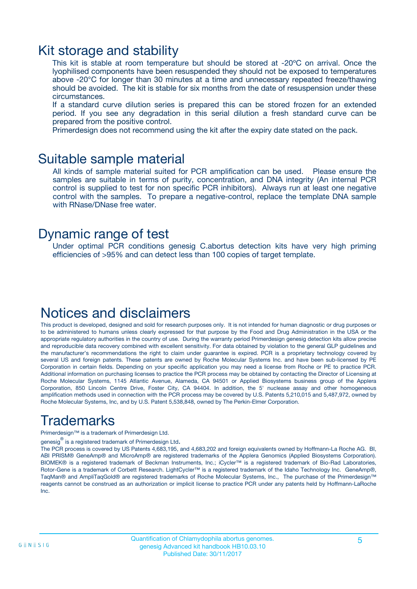### Kit storage and stability

This kit is stable at room temperature but should be stored at -20ºC on arrival. Once the lyophilised components have been resuspended they should not be exposed to temperatures above -20°C for longer than 30 minutes at a time and unnecessary repeated freeze/thawing should be avoided. The kit is stable for six months from the date of resuspension under these circumstances.

If a standard curve dilution series is prepared this can be stored frozen for an extended period. If you see any degradation in this serial dilution a fresh standard curve can be prepared from the positive control.

Primerdesign does not recommend using the kit after the expiry date stated on the pack.

### Suitable sample material

All kinds of sample material suited for PCR amplification can be used. Please ensure the samples are suitable in terms of purity, concentration, and DNA integrity (An internal PCR control is supplied to test for non specific PCR inhibitors). Always run at least one negative control with the samples. To prepare a negative-control, replace the template DNA sample with RNase/DNase free water.

### Dynamic range of test

Under optimal PCR conditions genesig C.abortus detection kits have very high priming efficiencies of >95% and can detect less than 100 copies of target template.

## Notices and disclaimers

This product is developed, designed and sold for research purposes only. It is not intended for human diagnostic or drug purposes or to be administered to humans unless clearly expressed for that purpose by the Food and Drug Administration in the USA or the appropriate regulatory authorities in the country of use. During the warranty period Primerdesign genesig detection kits allow precise and reproducible data recovery combined with excellent sensitivity. For data obtained by violation to the general GLP guidelines and the manufacturer's recommendations the right to claim under guarantee is expired. PCR is a proprietary technology covered by several US and foreign patents. These patents are owned by Roche Molecular Systems Inc. and have been sub-licensed by PE Corporation in certain fields. Depending on your specific application you may need a license from Roche or PE to practice PCR. Additional information on purchasing licenses to practice the PCR process may be obtained by contacting the Director of Licensing at Roche Molecular Systems, 1145 Atlantic Avenue, Alameda, CA 94501 or Applied Biosystems business group of the Applera Corporation, 850 Lincoln Centre Drive, Foster City, CA 94404. In addition, the 5' nuclease assay and other homogeneous amplification methods used in connection with the PCR process may be covered by U.S. Patents 5,210,015 and 5,487,972, owned by Roche Molecular Systems, Inc, and by U.S. Patent 5,538,848, owned by The Perkin-Elmer Corporation.

# Trademarks

Primerdesign™ is a trademark of Primerdesign Ltd.

genesig $^\circledR$  is a registered trademark of Primerdesign Ltd.

The PCR process is covered by US Patents 4,683,195, and 4,683,202 and foreign equivalents owned by Hoffmann-La Roche AG. BI, ABI PRISM® GeneAmp® and MicroAmp® are registered trademarks of the Applera Genomics (Applied Biosystems Corporation). BIOMEK® is a registered trademark of Beckman Instruments, Inc.; iCycler™ is a registered trademark of Bio-Rad Laboratories, Rotor-Gene is a trademark of Corbett Research. LightCycler™ is a registered trademark of the Idaho Technology Inc. GeneAmp®, TaqMan® and AmpliTaqGold® are registered trademarks of Roche Molecular Systems, Inc., The purchase of the Primerdesign™ reagents cannot be construed as an authorization or implicit license to practice PCR under any patents held by Hoffmann-LaRoche Inc.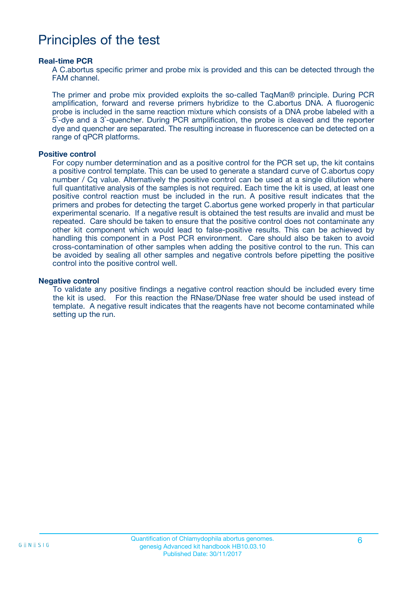### Principles of the test

#### **Real-time PCR**

A C.abortus specific primer and probe mix is provided and this can be detected through the FAM channel.

The primer and probe mix provided exploits the so-called TaqMan® principle. During PCR amplification, forward and reverse primers hybridize to the C.abortus DNA. A fluorogenic probe is included in the same reaction mixture which consists of a DNA probe labeled with a 5`-dye and a 3`-quencher. During PCR amplification, the probe is cleaved and the reporter dye and quencher are separated. The resulting increase in fluorescence can be detected on a range of qPCR platforms.

#### **Positive control**

For copy number determination and as a positive control for the PCR set up, the kit contains a positive control template. This can be used to generate a standard curve of C.abortus copy number / Cq value. Alternatively the positive control can be used at a single dilution where full quantitative analysis of the samples is not required. Each time the kit is used, at least one positive control reaction must be included in the run. A positive result indicates that the primers and probes for detecting the target C.abortus gene worked properly in that particular experimental scenario. If a negative result is obtained the test results are invalid and must be repeated. Care should be taken to ensure that the positive control does not contaminate any other kit component which would lead to false-positive results. This can be achieved by handling this component in a Post PCR environment. Care should also be taken to avoid cross-contamination of other samples when adding the positive control to the run. This can be avoided by sealing all other samples and negative controls before pipetting the positive control into the positive control well.

#### **Negative control**

To validate any positive findings a negative control reaction should be included every time the kit is used. For this reaction the RNase/DNase free water should be used instead of template. A negative result indicates that the reagents have not become contaminated while setting up the run.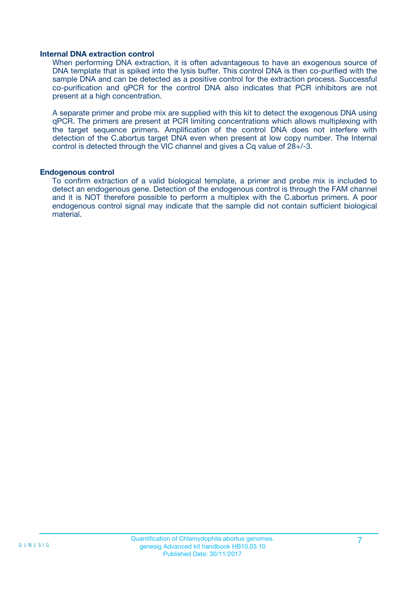#### **Internal DNA extraction control**

When performing DNA extraction, it is often advantageous to have an exogenous source of DNA template that is spiked into the lysis buffer. This control DNA is then co-purified with the sample DNA and can be detected as a positive control for the extraction process. Successful co-purification and qPCR for the control DNA also indicates that PCR inhibitors are not present at a high concentration.

A separate primer and probe mix are supplied with this kit to detect the exogenous DNA using qPCR. The primers are present at PCR limiting concentrations which allows multiplexing with the target sequence primers. Amplification of the control DNA does not interfere with detection of the C.abortus target DNA even when present at low copy number. The Internal control is detected through the VIC channel and gives a Cq value of 28+/-3.

#### **Endogenous control**

To confirm extraction of a valid biological template, a primer and probe mix is included to detect an endogenous gene. Detection of the endogenous control is through the FAM channel and it is NOT therefore possible to perform a multiplex with the C.abortus primers. A poor endogenous control signal may indicate that the sample did not contain sufficient biological material.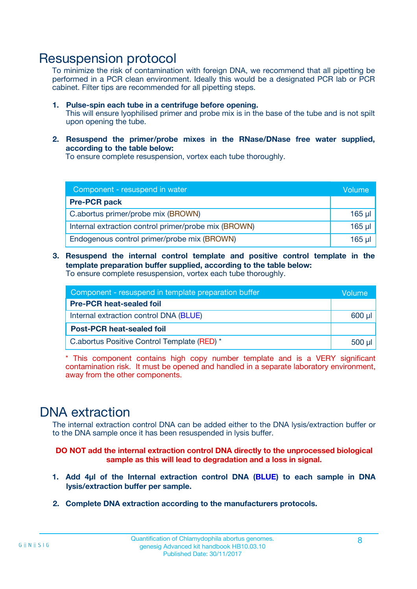### Resuspension protocol

To minimize the risk of contamination with foreign DNA, we recommend that all pipetting be performed in a PCR clean environment. Ideally this would be a designated PCR lab or PCR cabinet. Filter tips are recommended for all pipetting steps.

- **1. Pulse-spin each tube in a centrifuge before opening.** This will ensure lyophilised primer and probe mix is in the base of the tube and is not spilt upon opening the tube.
- **2. Resuspend the primer/probe mixes in the RNase/DNase free water supplied, according to the table below:**

To ensure complete resuspension, vortex each tube thoroughly.

| Component - resuspend in water                       |          |  |
|------------------------------------------------------|----------|--|
| <b>Pre-PCR pack</b>                                  |          |  |
| C.abortus primer/probe mix (BROWN)                   | $165$ µ  |  |
| Internal extraction control primer/probe mix (BROWN) | $165$ µl |  |
| Endogenous control primer/probe mix (BROWN)          | 165 µl   |  |

**3. Resuspend the internal control template and positive control template in the template preparation buffer supplied, according to the table below:** To ensure complete resuspension, vortex each tube thoroughly.

| Component - resuspend in template preparation buffer |  |  |  |
|------------------------------------------------------|--|--|--|
| <b>Pre-PCR heat-sealed foil</b>                      |  |  |  |
| Internal extraction control DNA (BLUE)               |  |  |  |
| <b>Post-PCR heat-sealed foil</b>                     |  |  |  |
| C.abortus Positive Control Template (RED) *          |  |  |  |

\* This component contains high copy number template and is a VERY significant contamination risk. It must be opened and handled in a separate laboratory environment, away from the other components.

### DNA extraction

The internal extraction control DNA can be added either to the DNA lysis/extraction buffer or to the DNA sample once it has been resuspended in lysis buffer.

**DO NOT add the internal extraction control DNA directly to the unprocessed biological sample as this will lead to degradation and a loss in signal.**

- **1. Add 4µl of the Internal extraction control DNA (BLUE) to each sample in DNA lysis/extraction buffer per sample.**
- **2. Complete DNA extraction according to the manufacturers protocols.**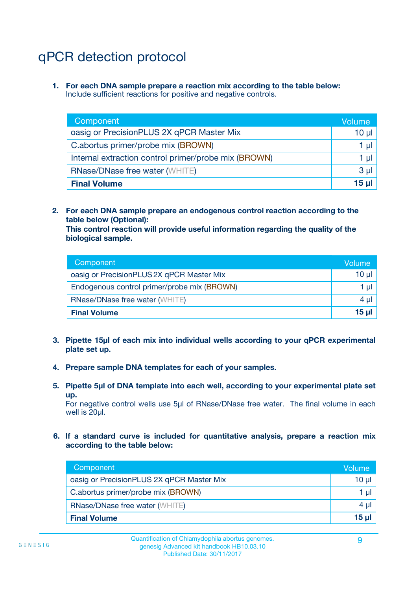# qPCR detection protocol

**1. For each DNA sample prepare a reaction mix according to the table below:** Include sufficient reactions for positive and negative controls.

| Component                                            | Volume   |
|------------------------------------------------------|----------|
| oasig or PrecisionPLUS 2X qPCR Master Mix            | 10 $\mu$ |
| C.abortus primer/probe mix (BROWN)                   | 1 µI     |
| Internal extraction control primer/probe mix (BROWN) | 1 µl     |
| <b>RNase/DNase free water (WHITE)</b>                | $3 \mu$  |
| <b>Final Volume</b>                                  | 15 µl    |

**2. For each DNA sample prepare an endogenous control reaction according to the table below (Optional):**

**This control reaction will provide useful information regarding the quality of the biological sample.**

| Component                                   | Volume   |
|---------------------------------------------|----------|
| oasig or PrecisionPLUS 2X qPCR Master Mix   | $10 \mu$ |
| Endogenous control primer/probe mix (BROWN) | 1 µI     |
| <b>RNase/DNase free water (WHITE)</b>       | $4 \mu$  |
| <b>Final Volume</b>                         | 15 µl    |

- **3. Pipette 15µl of each mix into individual wells according to your qPCR experimental plate set up.**
- **4. Prepare sample DNA templates for each of your samples.**
- **5. Pipette 5µl of DNA template into each well, according to your experimental plate set up.**

For negative control wells use 5µl of RNase/DNase free water. The final volume in each well is 20ul.

**6. If a standard curve is included for quantitative analysis, prepare a reaction mix according to the table below:**

| Component                                 | Volume  |
|-------------------------------------------|---------|
| oasig or PrecisionPLUS 2X qPCR Master Mix | 10 µl   |
| C.abortus primer/probe mix (BROWN)        | 1 µI    |
| <b>RNase/DNase free water (WHITE)</b>     | $4 \mu$ |
| <b>Final Volume</b>                       | 15 µl   |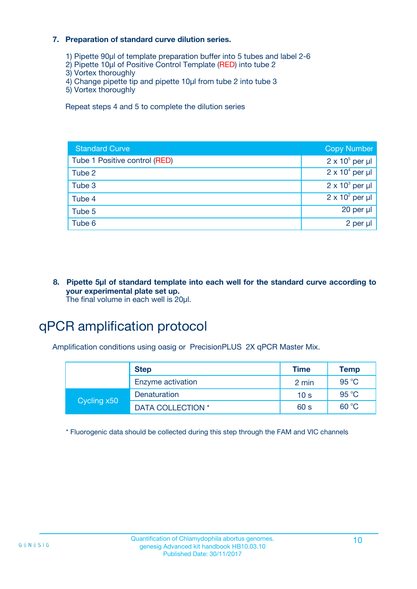#### **7. Preparation of standard curve dilution series.**

- 1) Pipette 90µl of template preparation buffer into 5 tubes and label 2-6
- 2) Pipette 10µl of Positive Control Template (RED) into tube 2
- 3) Vortex thoroughly
- 4) Change pipette tip and pipette 10µl from tube 2 into tube 3
- 5) Vortex thoroughly

Repeat steps 4 and 5 to complete the dilution series

| <b>Standard Curve</b>         | <b>Copy Number</b>     |
|-------------------------------|------------------------|
| Tube 1 Positive control (RED) | $2 \times 10^5$ per µl |
| Tube 2                        | $2 \times 10^4$ per µl |
| Tube 3                        | $2 \times 10^3$ per µl |
| Tube 4                        | $2 \times 10^2$ per µl |
| Tube 5                        | $20$ per $\mu$         |
| Tube 6                        | 2 per µl               |

**8. Pipette 5µl of standard template into each well for the standard curve according to your experimental plate set up.** The final volume in each well is 20µl.

# qPCR amplification protocol

Amplification conditions using oasig or PrecisionPLUS 2X qPCR Master Mix.

|             | <b>Step</b>       | <b>Time</b>     | <b>Temp</b> |
|-------------|-------------------|-----------------|-------------|
|             | Enzyme activation | 2 min           | 95 °C       |
| Cycling x50 | Denaturation      | 10 <sub>s</sub> | 95 °C       |
|             | DATA COLLECTION * | 60 s            | 60 °C       |

\* Fluorogenic data should be collected during this step through the FAM and VIC channels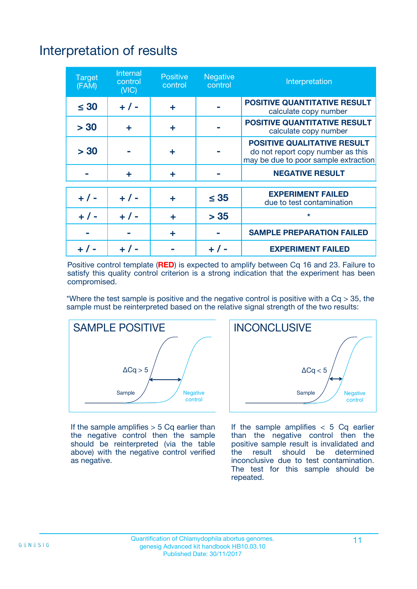# Interpretation of results

| <b>Target</b><br>(FAM) | <b>Internal</b><br>control<br>(NIC) | <b>Positive</b><br>control | <b>Negative</b><br>control | Interpretation                                                                                                  |
|------------------------|-------------------------------------|----------------------------|----------------------------|-----------------------------------------------------------------------------------------------------------------|
| $\leq 30$              | $+ 1 -$                             | ÷                          |                            | <b>POSITIVE QUANTITATIVE RESULT</b><br>calculate copy number                                                    |
| > 30                   | ٠                                   | ÷                          |                            | <b>POSITIVE QUANTITATIVE RESULT</b><br>calculate copy number                                                    |
| > 30                   |                                     | ÷                          |                            | <b>POSITIVE QUALITATIVE RESULT</b><br>do not report copy number as this<br>may be due to poor sample extraction |
|                        | ٠                                   | ÷                          |                            | <b>NEGATIVE RESULT</b>                                                                                          |
| $+ 1 -$                | $+ 1 -$                             | ÷                          | $\leq 35$                  | <b>EXPERIMENT FAILED</b><br>due to test contamination                                                           |
| $+ 1 -$                | $+ 1 -$                             | ÷                          | > 35                       | $\star$                                                                                                         |
|                        |                                     | ÷                          |                            | <b>SAMPLE PREPARATION FAILED</b>                                                                                |
|                        |                                     |                            | $+$ /                      | <b>EXPERIMENT FAILED</b>                                                                                        |

Positive control template (**RED**) is expected to amplify between Cq 16 and 23. Failure to satisfy this quality control criterion is a strong indication that the experiment has been compromised.

\*Where the test sample is positive and the negative control is positive with a  $Ca > 35$ , the sample must be reinterpreted based on the relative signal strength of the two results:



If the sample amplifies  $> 5$  Cq earlier than the negative control then the sample should be reinterpreted (via the table above) with the negative control verified as negative.



If the sample amplifies  $< 5$  Cq earlier than the negative control then the positive sample result is invalidated and<br>the result should be determined  $the$  result should be inconclusive due to test contamination. The test for this sample should be repeated.